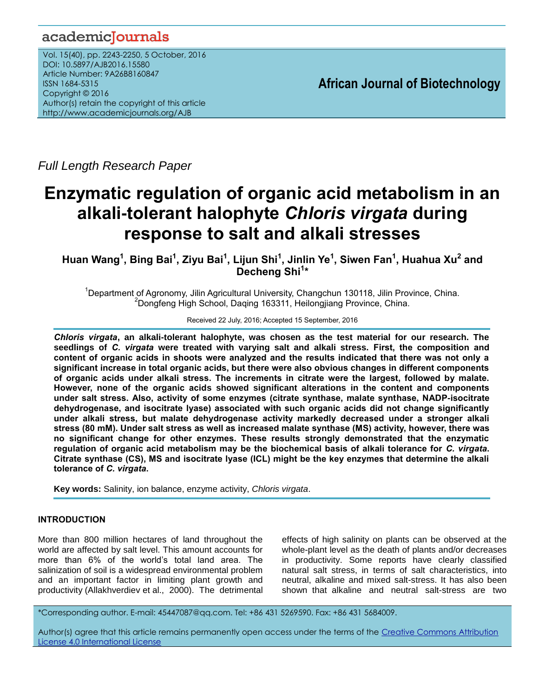# academicJournals

Vol. 15(40), pp. 2243-2250, 5 October, 2016 DOI: 10.5897/AJB2016.15580 Article Number: 9A26B8160847 ISSN 1684-5315 Copyright © 2016 Author(s) retain the copyright of this article http://www.academicjournals.org/AJB

**African Journal of Biotechnology**

*Full Length Research Paper*

# **Enzymatic regulation of organic acid metabolism in an alkali-tolerant halophyte** *Chloris virgata* **during response to salt and alkali stresses**

**Huan Wang<sup>1</sup> , Bing Bai<sup>1</sup> , Ziyu Bai<sup>1</sup> , Lijun Shi<sup>1</sup> , Jinlin Ye<sup>1</sup> , Siwen Fan<sup>1</sup> , Huahua Xu<sup>2</sup> and Decheng Shi<sup>1</sup> \***

<sup>1</sup>Department of Agronomy, Jilin Agricultural University, Changchun 130118, Jilin Province, China. <sup>2</sup>Dongfeng High School, Daqing 163311, Heilongjiang Province, China.

Received 22 July, 2016; Accepted 15 September, 2016

*Chloris virgata***, an alkali-tolerant halophyte, was chosen as the test material for our research. The seedlings of** *C. virgata* **were treated with varying salt and alkali stress. First, the composition and content of organic acids in shoots were analyzed and the results indicated that there was not only a significant increase in total organic acids, but there were also obvious changes in different components of organic acids under alkali stress. The increments in citrate were the largest, followed by malate. However, none of the organic acids showed significant alterations in the content and components under salt stress. Also, activity of some enzymes (citrate synthase, malate synthase, NADP-isocitrate dehydrogenase, and isocitrate lyase) associated with such organic acids did not change significantly under alkali stress, but malate dehydrogenase activity markedly decreased under a stronger alkali stress (80 mM). Under salt stress as well as increased malate synthase (MS) activity, however, there was no significant change for other enzymes. These results strongly demonstrated that the enzymatic regulation of organic acid metabolism may be the biochemical basis of alkali tolerance for** *C. virgata***. Citrate synthase (CS), MS and isocitrate lyase (ICL) might be the key enzymes that determine the alkali tolerance of** *C. virgata***.** 

**Key words:** Salinity, ion balance, enzyme activity, *Chloris virgata*.

# **INTRODUCTION**

More than 800 million hectares of land throughout the world are affected by salt level. This amount accounts for more than 6% of the world's total land area. The salinization of soil is a widespread environmental problem and an important factor in limiting plant growth and productivity (Allakhverdiev et al., 2000). The detrimental

effects of high salinity on plants can be observed at the whole-plant level as the death of plants and/or decreases in productivity. Some reports have clearly classified natural salt stress, in terms of salt characteristics, into neutral, alkaline and mixed salt-stress. It has also been shown that alkaline and neutral salt-stress are two

\*Corresponding author. E-mail: 45447087@qq.com. Tel: +86 431 5269590. Fax: +86 431 5684009.

Author(s) agree that this article remains permanently open access under the terms of the Creative Commons Attribution [License 4.0 International License](http://creativecommons.org/licenses/by/4.0/deed.en_US)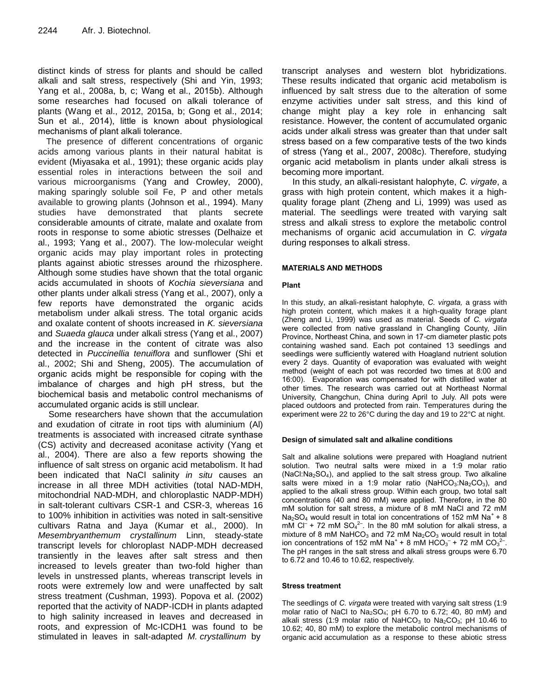distinct kinds of stress for plants and should be called alkali and salt stress, respectively (Shi and Yin, 1993; Yang et al., 2008a, b, c; Wang et al., 2015b). Although some researches had focused on alkali tolerance of plants (Wang et al., 2012, 2015a, b; Gong et al., 2014; Sun et al., 2014), little is known about physiological mechanisms of plant alkali tolerance.

The presence of different concentrations of organic acids among various plants in their natural habitat is evident (Miyasaka et al., 1991); these organic acids play essential roles in interactions between the soil and various microorganisms (Yang and Crowley, 2000), making sparingly soluble soil Fe, P and other metals available to growing plants (Johnson et al., 1994). Many studies have demonstrated that plants secrete considerable amounts of citrate, malate and oxalate from roots in response to some abiotic stresses (Delhaize et al., 1993; Yang et al., 2007). The low-molecular weight organic acids may play important roles in protecting plants against abiotic stresses around the rhizosphere. Although some studies have shown that the total organic acids accumulated in shoots of *Kochia sieversiana* and other plants under alkali stress (Yang et al., 2007), only a few reports have demonstrated the organic acids metabolism under alkali stress. The total organic acids and oxalate content of shoots increased in *K. sieversiana* and *Suaeda glauca* under alkali stress (Yang et al., 2007) and the increase in the content of citrate was also detected in *Puccinellia tenuiflora* and sunflower (Shi et al., 2002; Shi and Sheng, 2005). The accumulation of organic acids might be responsible for coping with the imbalance of charges and high pH stress, but the biochemical basis and metabolic control mechanisms of accumulated organic acids is still unclear.

Some researchers have shown that the accumulation and exudation of citrate in root tips with aluminium (Al) treatments is associated with increased citrate synthase (CS) activity and decreased aconitase activity (Yang et al., 2004). There are also a few reports showing the influence of salt stress on organic acid metabolism. It had been indicated that NaCl salinity *in situ* causes an increase in all three MDH activities (total NAD-MDH, mitochondrial NAD-MDH, and chloroplastic NADP-MDH) in salt-tolerant cultivars CSR-1 and CSR-3, whereas 16 to 100% inhibition in activities was noted in salt-sensitive cultivars Ratna and Jaya (Kumar et al., 2000). In *Mesembryanthemum crystallinum* Linn, steady-state transcript levels for chloroplast NADP-MDH decreased transiently in the leaves after salt stress and then increased to levels greater than two-fold higher than levels in unstressed plants, whereas transcript levels in roots were extremely low and were unaffected by salt stress treatment (Cushman, 1993). Popova et al. (2002) reported that the activity of NADP-ICDH in plants adapted to high salinity increased in leaves and decreased in roots, and expression of Mc-ICDH1 was found to be stimulated in leaves in salt-adapted *M. crystallinum* by

transcript analyses and western blot hybridizations. These results indicated that organic acid metabolism is influenced by salt stress due to the alteration of some enzyme activities under salt stress, and this kind of change might play a key role in enhancing salt resistance. However, the content of accumulated organic acids under alkali stress was greater than that under salt stress based on a few comparative tests of the two kinds of stress (Yang et al., 2007, 2008c). Therefore, studying organic acid metabolism in plants under alkali stress is becoming more important.

In this study, an alkali-resistant halophyte, *C. virgate*, a grass with high protein content, which makes it a highquality forage plant (Zheng and Li, 1999) was used as material. The seedlings were treated with varying salt stress and alkali stress to explore the metabolic control mechanisms of organic acid accumulation in *C. virgata* during responses to alkali stress.

#### **MATERIALS AND METHODS**

#### **Plant**

In this study, an alkali-resistant halophyte, *C. virgata,* a grass with high protein content, which makes it a high-quality forage plant (Zheng and Li, 1999) was used as material. Seeds of *C. virgata*  were collected from native grassland in Changling County, Jilin Province, Northeast China, and sown in 17-cm diameter plastic pots containing washed sand. Each pot contained 13 seedlings and seedlings were sufficiently watered with Hoagland nutrient solution every 2 days. Quantity of evaporation was evaluated with weight method (weight of each pot was recorded two times at 8:00 and 16:00). Evaporation was compensated for with distilled water at other times. The research was carried out at Northeast Normal University, Changchun, China during April to July. All pots were placed outdoors and protected from rain. Temperatures during the experiment were 22 to 26°C during the day and 19 to 22°C at night.

#### **Design of simulated salt and alkaline conditions**

Salt and alkaline solutions were prepared with Hoagland nutrient solution. Two neutral salts were mixed in a 1:9 molar ratio (NaCl:Na2SO4), and applied to the salt stress group. Two alkaline salts were mixed in a 1:9 molar ratio (NaHCO<sub>3</sub>:Na<sub>2</sub>CO<sub>3</sub>), and applied to the alkali stress group. Within each group, two total salt concentrations (40 and 80 mM) were applied. Therefore, in the 80 mM solution for salt stress, a mixture of 8 mM NaCl and 72 mM  $Na<sub>2</sub>SO<sub>4</sub>$  would result in total ion concentrations of 152 mM Na<sup>+</sup> + 8 mM Cl<sup>-</sup> + 72 mM  $SO_4^2$ <sup>-</sup>. In the 80 mM solution for alkali stress, a mixture of 8 mM NaHCO<sub>3</sub> and 72 mM  $Na<sub>2</sub>CO<sub>3</sub>$  would result in total ion concentrations of 152 mM Na<sup>+</sup> + 8 mM HCO<sub>3</sub><sup>-</sup> + 72 mM CO<sub>3</sub><sup>2-</sup>. The pH ranges in the salt stress and alkali stress groups were 6.70 to 6.72 and 10.46 to 10.62, respectively.

#### **Stress treatment**

The seedlings of *C. virgata* were treated with varying salt stress (1:9 molar ratio of NaCl to  $Na<sub>2</sub>SO<sub>4</sub>$ ; pH 6.70 to 6.72; 40, 80 mM) and alkali stress (1:9 molar ratio of NaHCO<sub>3</sub> to Na<sub>2</sub>CO<sub>3</sub>; pH 10.46 to 10.62; 40, 80 mM) to explore the metabolic control mechanisms of organic acid accumulation as a response to these abiotic stress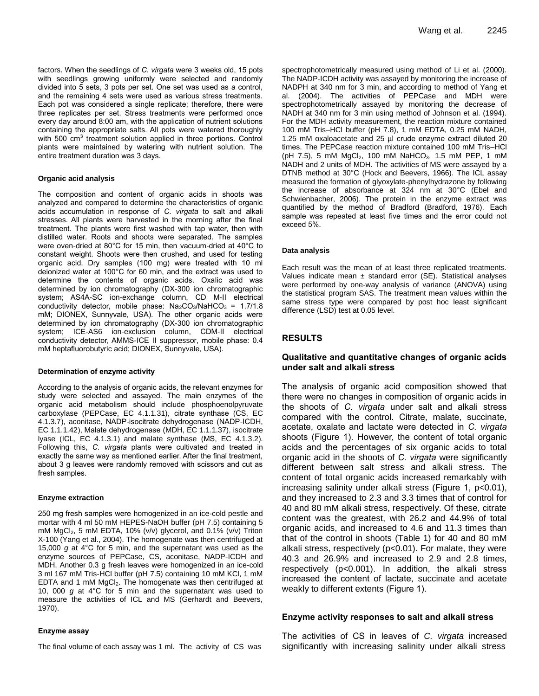factors. When the seedlings of *C. virgata* were 3 weeks old, 15 pots with seedlings growing uniformly were selected and randomly divided into 5 sets, 3 pots per set. One set was used as a control, and the remaining 4 sets were used as various stress treatments. Each pot was considered a single replicate; therefore, there were three replicates per set. Stress treatments were performed once every day around 8:00 am, with the application of nutrient solutions containing the appropriate salts. All pots were watered thoroughly with 500 cm<sup>3</sup> treatment solution applied in three portions. Control plants were maintained by watering with nutrient solution. The entire treatment duration was 3 days.

#### **Organic acid analysis**

The composition and content of organic acids in shoots was analyzed and compared to determine the characteristics of organic acids accumulation in response of *C. virgata* to salt and alkali stresses. All plants were harvested in the morning after the final treatment. The plants were first washed with tap water, then with distilled water. Roots and shoots were separated. The samples were oven-dried at 80°C for 15 min, then vacuum-dried at 40°C to constant weight. Shoots were then crushed, and used for testing organic acid. Dry samples (100 mg) were treated with 10 ml deionized water at 100°C for 60 min, and the extract was used to determine the contents of organic acids. Oxalic acid was determined by ion chromatography (DX-300 ion chromatographic system; AS4A-SC ion-exchange column, CD M-II electrical conductivity detector, mobile phase:  $Na<sub>2</sub>CO<sub>3</sub>/NaHCO<sub>3</sub> = 1.7/1.8$ mM; DIONEX, Sunnyvale, USA). The other organic acids were determined by ion chromatography (DX-300 ion chromatographic system; ICE-AS6 ion-exclusion column, CDM-II electrical conductivity detector, AMMS-ICE II suppressor, mobile phase: 0.4 mM heptafluorobutyric acid; DIONEX, Sunnyvale, USA).

#### **Determination of enzyme activity**

According to the analysis of organic acids, the relevant enzymes for study were selected and assayed. The main enzymes of the organic acid metabolism should include phosphoenolpyruvate carboxylase (PEPCase, EC 4.1.1.31), citrate synthase (CS, EC 4.1.3.7), aconitase, NADP-isocitrate dehydrogenase (NADP-ICDH, EC 1.1.1.42), Malate dehydrogenase (MDH, EC 1.1.1.37), isocitrate lyase (ICL, EC 4.1.3.1) and malate synthase (MS, EC 4.1.3.2). Following this, *C. virgata* plants were cultivated and treated in exactly the same way as mentioned earlier. After the final treatment, about 3 g leaves were randomly removed with scissors and cut as fresh samples.

#### **Enzyme extraction**

250 mg fresh samples were homogenized in an ice-cold pestle and mortar with 4 ml 50 mM HEPES-NaOH buffer (pH 7.5) containing 5 mM  $MgCl<sub>2</sub>$ , 5 mM EDTA, 10% (v/v) glycerol, and 0.1% (v/v) Triton X-100 (Yang et al., 2004). The homogenate was then centrifuged at 15,000 *g* at 4°C for 5 min, and the supernatant was used as the enzyme sources of PEPCase, CS, aconitase, NADP-ICDH and MDH. Another 0.3 g fresh leaves were homogenized in an ice-cold 3 ml 167 mM Tris-HCl buffer (pH 7.5) containing 10 mM KCl, 1 mM EDTA and 1 mM MgCl<sub>2</sub>. The homogenate was then centrifuged at 10, 000 *g* at 4°C for 5 min and the supernatant was used to measure the activities of ICL and MS (Gerhardt and Beevers, 1970).

#### **Enzyme assay**

The final volume of each assay was 1 ml. The activity of CS was

spectrophotometrically measured using method of Li et al. (2000). The NADP-ICDH activity was assayed by monitoring the increase of NADPH at 340 nm for 3 min, and according to method of Yang et al. (2004). The activities of PEPCase and MDH were spectrophotometrically assayed by monitoring the decrease of NADH at 340 nm for 3 min using method of Johnson et al. (1994). For the MDH activity measurement, the reaction mixture contained 100 mM Tris–HCl buffer (pH 7.8), 1 mM EDTA, 0.25 mM NADH, 1.25 mM oxaloacetate and 25 µl crude enzyme extract diluted 20 times. The PEPCase reaction mixture contained 100 mM Tris–HCl (pH 7.5), 5 mM  $MgCl_2$ , 100 mM NaHCO<sub>3</sub>, 1.5 mM PEP, 1 mM NADH and 2 units of MDH. The activities of MS were assayed by a DTNB method at 30°C (Hock and Beevers, 1966). The ICL assay measured the formation of glyoxylate-phenylhydrazone by following the increase of absorbance at 324 nm at 30°C (Ebel and Schwienbacher, 2006). The protein in the enzyme extract was quantified by the method of Bradford (Bradford, 1976). Each sample was repeated at least five times and the error could not exceed 5%.

#### **Data analysis**

Each result was the mean of at least three replicated treatments. Values indicate mean  $\pm$  standard error (SE). Statistical analyses were performed by one-way analysis of variance (ANOVA) using the statistical program SAS. The treatment mean values within the same stress type were compared by post hoc least significant difference (LSD) test at 0.05 level.

# **RESULTS**

#### **Qualitative and quantitative changes of organic acids under salt and alkali stress**

The analysis of organic acid composition showed that there were no changes in composition of organic acids in the shoots of *C. virgata* under salt and alkali stress compared with the control. Citrate, malate, succinate, acetate, oxalate and lactate were detected in *C. virgata* shoots (Figure 1). However, the content of total organic acids and the percentages of six organic acids to total organic acid in the shoots of *C. virgata* were significantly different between salt stress and alkali stress. The content of total organic acids increased remarkably with increasing salinity under alkali stress (Figure 1, p<0.01), and they increased to 2.3 and 3.3 times that of control for 40 and 80 mM alkali stress, respectively. Of these, citrate content was the greatest, with 26.2 and 44.9% of total organic acids, and increased to 4.6 and 11.3 times than that of the control in shoots (Table 1) for 40 and 80 mM alkali stress, respectively (p<0.01). For malate, they were 40.3 and 26.9% and increased to 2.9 and 2.8 times, respectively (p<0.001). In addition, the alkali stress increased the content of lactate, succinate and acetate weakly to different extents (Figure 1).

#### **Enzyme activity responses to salt and alkali stress**

The activities of CS in leaves of *C. virgata* increased significantly with increasing salinity under alkali stress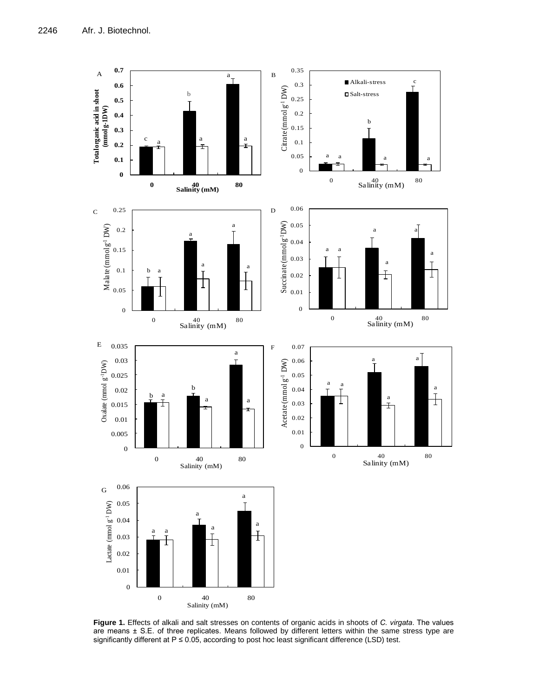

**Figure 1.** Effects of alkali and salt stresses on contents of organic acids in shoots of *C. virgata*. The values are means ± S.E. of three replicates. Means followed by different letters within the same stress type are significantly different at P ≤ 0.05, according to post hoc least significant difference (LSD) test.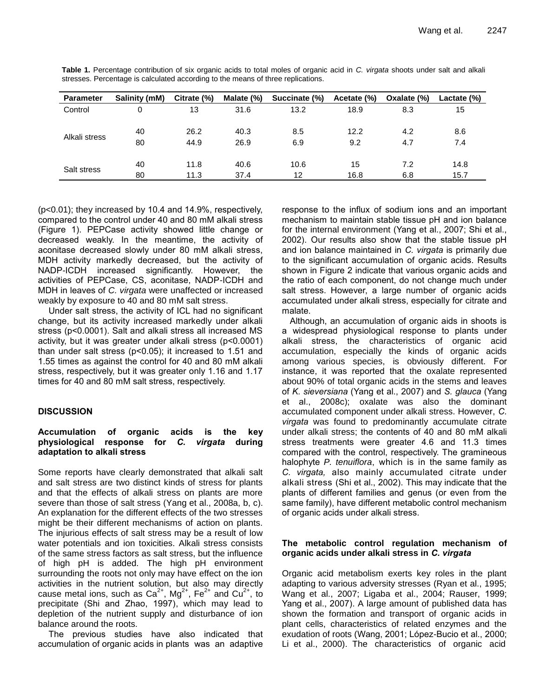| <b>Parameter</b> | Salinity (mM) | Citrate (%) | Malate (%) | Succinate (%) | Acetate (%) | Oxalate (%) | Lactate (%) |
|------------------|---------------|-------------|------------|---------------|-------------|-------------|-------------|
| Control          |               | 13          | 31.6       | 13.2          | 18.9        | 8.3         | 15          |
|                  |               |             |            |               |             |             |             |
| Alkali stress    | 40            | 26.2        | 40.3       | 8.5           | 12.2        | 4.2         | 8.6         |
|                  | 80            | 44.9        | 26.9       | 6.9           | 9.2         | 4.7         | 7.4         |
|                  |               |             |            |               |             |             |             |
| Salt stress      | 40            | 11.8        | 40.6       | 10.6          | 15          | 7.2         | 14.8        |
|                  | 80            | 11.3        | 37.4       | 12            | 16.8        | 6.8         | 15.7        |

**Table 1.** Percentage contribution of six organic acids to total moles of organic acid in *C. virgata* shoots under salt and alkali stresses. Percentage is calculated according to the means of three replications.

(p<0.01); they increased by 10.4 and 14.9%, respectively, compared to the control under 40 and 80 mM alkali stress (Figure 1). PEPCase activity showed little change or decreased weakly. In the meantime, the activity of aconitase decreased slowly under 80 mM alkali stress, MDH activity markedly decreased, but the activity of NADP-ICDH increased significantly. However, the activities of PEPCase, CS, aconitase, NADP-ICDH and MDH in leaves of *C. virgata* were unaffected or increased weakly by exposure to 40 and 80 mM salt stress.

Under salt stress, the activity of ICL had no significant change, but its activity increased markedly under alkali stress (p<0.0001). Salt and alkali stress all increased MS activity, but it was greater under alkali stress (p<0.0001) than under salt stress (p<0.05); it increased to 1.51 and 1.55 times as against the control for 40 and 80 mM alkali stress, respectively, but it was greater only 1.16 and 1.17 times for 40 and 80 mM salt stress, respectively.

# **DISCUSSION**

### **Accumulation of organic acids is the key physiological response for** *C. virgata* **during adaptation to alkali stress**

Some reports have clearly demonstrated that alkali salt and salt stress are two distinct kinds of stress for plants and that the effects of alkali stress on plants are more severe than those of salt stress (Yang et al., 2008a, b, c). An explanation for the different effects of the two stresses might be their different mechanisms of action on plants. The injurious effects of salt stress may be a result of low water potentials and ion toxicities. Alkali stress consists of the same stress factors as salt stress, but the influence of high pH is added. The high pH environment surrounding the roots not only may have effect on the ion activities in the nutrient solution, but also may directly cause metal ions, such as  $Ca^{2+}$ , Mg<sup>2+</sup>, Fe<sup>2+</sup> and Cu<sup>2+</sup>, to precipitate (Shi and Zhao, 1997), which may lead to depletion of the nutrient supply and disturbance of ion balance around the roots.

The previous studies have also indicated that accumulation of organic acids in plants was an adaptive response to the influx of sodium ions and an important mechanism to maintain stable tissue pH and ion balance for the internal environment (Yang et al., 2007; Shi et al., 2002). Our results also show that the stable tissue pH and ion balance maintained in *C. virgata* is primarily due to the significant accumulation of organic acids. Results shown in Figure 2 indicate that various organic acids and the ratio of each component, do not change much under salt stress. However, a large number of organic acids accumulated under alkali stress, especially for citrate and malate.

Although, an accumulation of organic aids in shoots is a widespread physiological response to plants under alkali stress, the characteristics of organic acid accumulation, especially the kinds of organic acids among various species, is obviously different. For instance, it was reported that the oxalate represented about 90% of total organic acids in the stems and leaves of *K. sieversiana* (Yang et al., 2007) and *S. glauca* (Yang et al., 2008c); oxalate was also the dominant accumulated component under alkali stress. However, *C. virgata* was found to predominantly accumulate citrate under alkali stress; the contents of 40 and 80 mM alkali stress treatments were greater 4.6 and 11.3 times compared with the control, respectively. The gramineous halophyte *P. tenuiflora*, which is in the same family as *C. virgata,* also mainly accumulated citrate under alkali stress (Shi et al., 2002). This may indicate that the plants of different families and genus (or even from the same family), have different metabolic control mechanism of organic acids under alkali stress.

# **The metabolic control regulation mechanism of organic acids under alkali stress in** *C. virgata*

Organic acid metabolism exerts key roles in the plant adapting to various adversity stresses (Ryan et al., 1995; Wang et al., 2007; Ligaba et al., 2004; Rauser, 1999; Yang et al., 2007). A large amount of published data has shown the formation and transport of organic acids in plant cells, characteristics of related enzymes and the exudation of roots (Wang, 2001; López-Bucio et al., 2000; Li et al., 2000). The characteristics of organic acid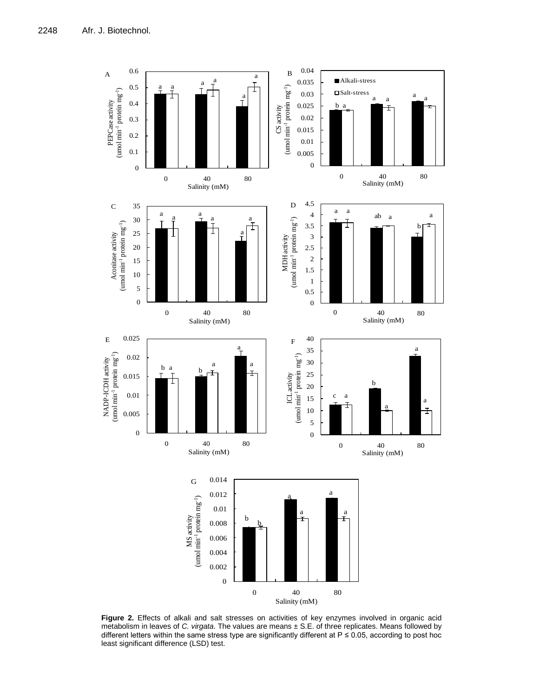

**Figure 2.** Effects of alkali and salt stresses on activities of key enzymes involved in organic acid metabolism in leaves of *C. virgata*. The values are means ± S.E. of three replicates. Means followed by different letters within the same stress type are significantly different at P ≤ 0.05, according to post hoc least significant difference (LSD) test.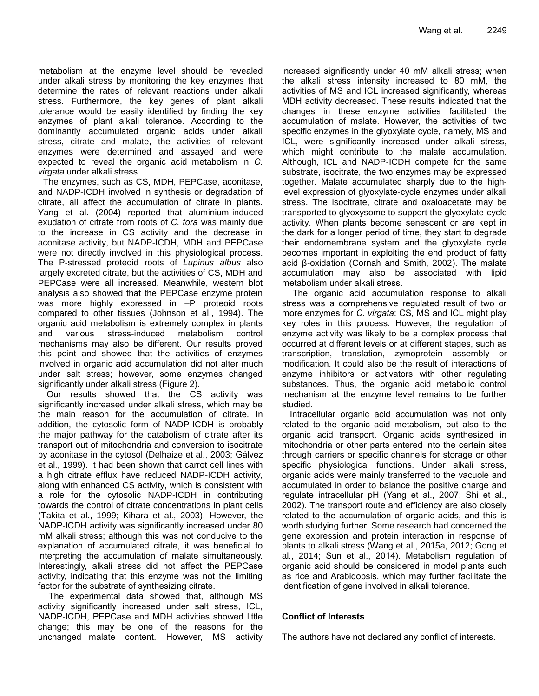metabolism at the enzyme level should be revealed under alkali stress by monitoring the key enzymes that determine the rates of relevant reactions under alkali stress. Furthermore, the key genes of plant alkali tolerance would be easily identified by finding the key enzymes of plant alkali tolerance. According to the dominantly accumulated organic acids under alkali stress, citrate and malate, the activities of relevant enzymes were determined and assayed and were expected to reveal the organic acid metabolism in *C. virgata* under alkali stress.

The enzymes, such as CS, MDH, PEPCase, aconitase, and NADP-ICDH involved in synthesis or degradation of citrate, all affect the accumulation of citrate in plants. Yang et al. (2004) reported that aluminium-induced exudation of citrate from roots of *C. tora* was mainly due to the increase in CS activity and the decrease in aconitase activity, but NADP-ICDH, MDH and PEPCase were not directly involved in this physiological process. The P-stressed proteoid roots of *Lupinus albus* also largely excreted citrate, but the activities of CS, MDH and PEPCase were all increased. Meanwhile, western blot analysis also showed that the PEPCase enzyme protein was more highly expressed in -P proteoid roots compared to other tissues (Johnson et al., 1994). The organic acid metabolism is extremely complex in plants and various stress-induced metabolism control mechanisms may also be different. Our results proved this point and showed that the activities of enzymes involved in organic acid accumulation did not alter much under salt stress; however, some enzymes changed significantly under alkali stress (Figure 2).

Our results showed that the CS activity was significantly increased under alkali stress, which may be the main reason for the accumulation of citrate. In addition, the cytosolic form of NADP-ICDH is probably the major pathway for the catabolism of citrate after its transport out of mitochondria and conversion to isocitrate by aconitase in the cytosol (Delhaize et al., 2003; Gálvez et al., 1999). It had been shown that carrot cell lines with a high citrate efflux have reduced NADP-ICDH activity, along with enhanced CS activity, which is consistent with a role for the cytosolic NADP-ICDH in contributing towards the control of citrate concentrations in plant cells (Takita et al., 1999; Kihara et al., 2003). However, the NADP-ICDH activity was significantly increased under 80 mM alkali stress; although this was not conducive to the explanation of accumulated citrate, it was beneficial to interpreting the accumulation of malate simultaneously. Interestingly, alkali stress did not affect the PEPCase activity, indicating that this enzyme was not the limiting factor for the substrate of synthesizing citrate.

The experimental data showed that, although MS activity significantly increased under salt stress, ICL, NADP-ICDH, PEPCase and MDH activities showed little change; this may be one of the reasons for the unchanged malate content. However, MS activity increased significantly under 40 mM alkali stress; when the alkali stress intensity increased to 80 mM, the activities of MS and ICL increased significantly, whereas MDH activity decreased. These results indicated that the changes in these enzyme activities facilitated the accumulation of malate. However, the activities of two specific enzymes in the glyoxylate cycle, namely, MS and ICL, were significantly increased under alkali stress, which might contribute to the malate accumulation. Although, ICL and NADP-ICDH compete for the same substrate, isocitrate, the two enzymes may be expressed together. Malate accumulated sharply due to the highlevel expression of glyoxylate-cycle enzymes under alkali stress. The isocitrate, citrate and oxaloacetate may be transported to glyoxysome to support the glyoxylate-cycle activity. When plants become senescent or are kept in the dark for a longer period of time, they start to degrade their endomembrane system and the glyoxylate cycle becomes important in exploiting the end product of fatty acid β-oxidation (Cornah and Smith, 2002). The malate accumulation may also be associated with lipid metabolism under alkali stress.

The organic acid accumulation response to alkali stress was a comprehensive regulated result of two or more enzymes for *C. virgata*: CS, MS and ICL might play key roles in this process. However, the regulation of enzyme activity was likely to be a complex process that occurred at different levels or at different stages, such as transcription, translation, zymoprotein assembly or modification. It could also be the result of interactions of enzyme inhibitors or activators with other regulating substances. Thus, the organic acid metabolic control mechanism at the enzyme level remains to be further studied.

Intracellular organic acid accumulation was not only related to the organic acid metabolism, but also to the organic acid transport. Organic acids synthesized in mitochondria or other parts entered into the certain sites through carriers or specific channels for storage or other specific physiological functions. Under alkali stress, organic acids were mainly transferred to the vacuole and accumulated in order to balance the positive charge and regulate intracellular pH (Yang et al., 2007; Shi et al., 2002). The transport route and efficiency are also closely related to the accumulation of organic acids, and this is worth studying further. Some research had concerned the gene expression and protein interaction in response of plants to alkali stress (Wang et al., 2015a, 2012; Gong et al., 2014; Sun et al., 2014). Metabolism regulation of organic acid should be considered in model plants such as rice and Arabidopsis, which may further facilitate the identification of gene involved in alkali tolerance.

# **Conflict of Interests**

The authors have not declared any conflict of interests.